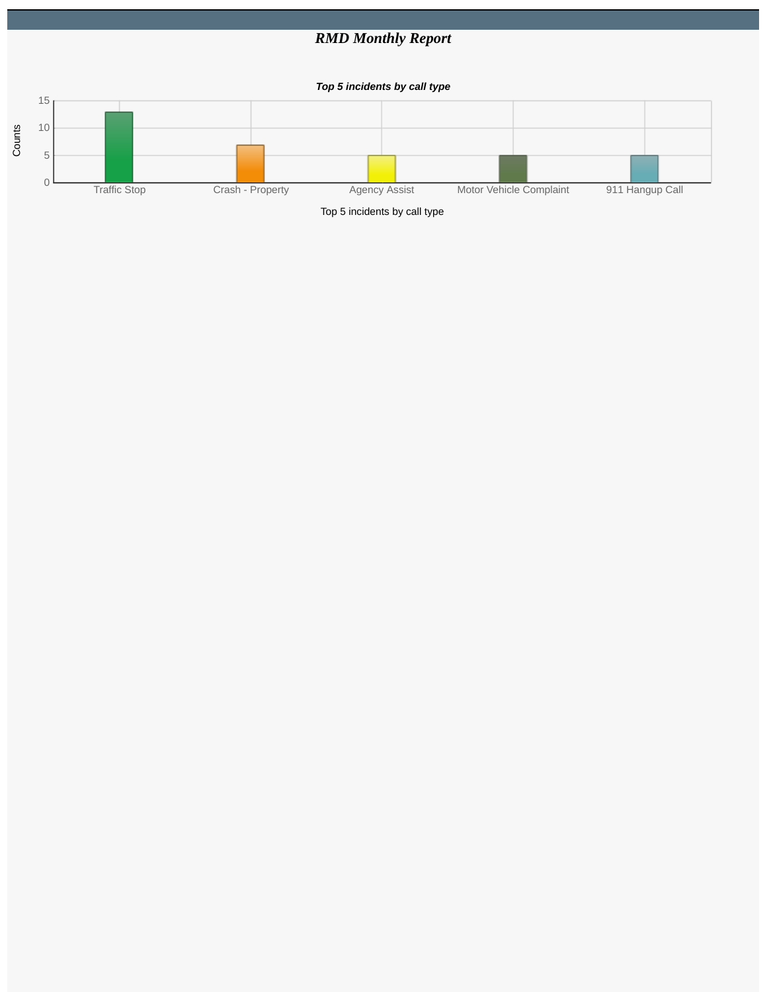## *RMD Monthly Report*

*Top 5 incidents by call type*



Top 5 incidents by call type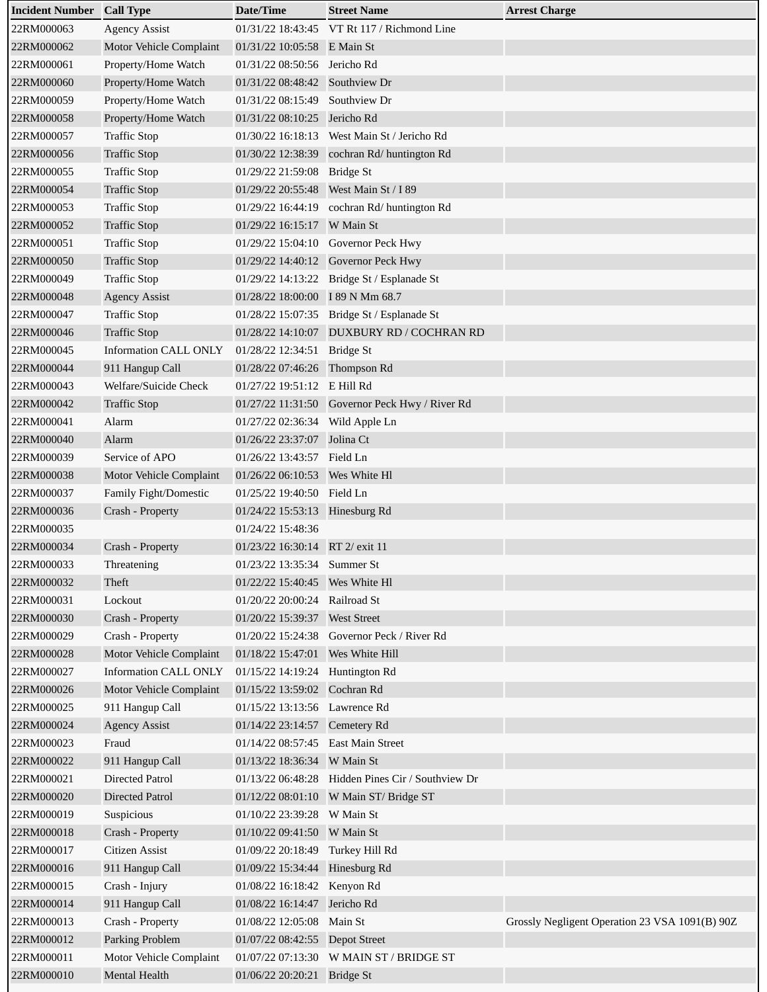| <b>Incident Number Call Type</b> |                                | Date/Time                        | <b>Street Name</b>                             | <b>Arrest Charge</b>                           |
|----------------------------------|--------------------------------|----------------------------------|------------------------------------------------|------------------------------------------------|
| 22RM000063                       | <b>Agency Assist</b>           |                                  | 01/31/22 18:43:45 VT Rt 117 / Richmond Line    |                                                |
| 22RM000062                       | Motor Vehicle Complaint        | 01/31/22 10:05:58 E Main St      |                                                |                                                |
| 22RM000061                       | Property/Home Watch            | 01/31/22 08:50:56 Jericho Rd     |                                                |                                                |
| 22RM000060                       | Property/Home Watch            | 01/31/22 08:48:42 Southview Dr   |                                                |                                                |
| 22RM000059                       | Property/Home Watch            | 01/31/22 08:15:49                | Southview Dr                                   |                                                |
| 22RM000058                       | Property/Home Watch            | 01/31/22 08:10:25 Jericho Rd     |                                                |                                                |
| 22RM000057                       | <b>Traffic Stop</b>            |                                  | 01/30/22 16:18:13  West Main St / Jericho Rd   |                                                |
| 22RM000056                       | <b>Traffic Stop</b>            | 01/30/22 12:38:39                | cochran Rd/ huntington Rd                      |                                                |
| 22RM000055                       | <b>Traffic Stop</b>            | 01/29/22 21:59:08 Bridge St      |                                                |                                                |
| 22RM000054                       | <b>Traffic Stop</b>            |                                  | 01/29/22 20:55:48 West Main St / I 89          |                                                |
| 22RM000053                       | <b>Traffic Stop</b>            |                                  | 01/29/22 16:44:19 cochran Rd/ huntington Rd    |                                                |
| 22RM000052                       | <b>Traffic Stop</b>            | 01/29/22 16:15:17 W Main St      |                                                |                                                |
| 22RM000051                       | <b>Traffic Stop</b>            |                                  | 01/29/22 15:04:10 Governor Peck Hwy            |                                                |
| 22RM000050                       | <b>Traffic Stop</b>            |                                  | 01/29/22 14:40:12 Governor Peck Hwy            |                                                |
| 22RM000049                       | <b>Traffic Stop</b>            |                                  | 01/29/22 14:13:22 Bridge St / Esplanade St     |                                                |
| 22RM000048                       | <b>Agency Assist</b>           | 01/28/22 18:00:00 I 89 N Mm 68.7 |                                                |                                                |
| 22RM000047                       | <b>Traffic Stop</b>            |                                  | 01/28/22 15:07:35 Bridge St / Esplanade St     |                                                |
| 22RM000046                       | <b>Traffic Stop</b>            |                                  | 01/28/22 14:10:07 DUXBURY RD / COCHRAN RD      |                                                |
| 22RM000045                       | <b>Information CALL ONLY</b>   | 01/28/22 12:34:51 Bridge St      |                                                |                                                |
| 22RM000044                       | 911 Hangup Call                | 01/28/22 07:46:26 Thompson Rd    |                                                |                                                |
| 22RM000043                       | Welfare/Suicide Check          | 01/27/22 19:51:12 E Hill Rd      |                                                |                                                |
| 22RM000042                       | <b>Traffic Stop</b>            |                                  | 01/27/22 11:31:50 Governor Peck Hwy / River Rd |                                                |
| 22RM000041                       | Alarm                          | 01/27/22 02:36:34 Wild Apple Ln  |                                                |                                                |
| 22RM000040                       | Alarm                          | 01/26/22 23:37:07 Jolina Ct      |                                                |                                                |
| 22RM000039                       | Service of APO                 | 01/26/22 13:43:57 Field Ln       |                                                |                                                |
| 22RM000038                       | <b>Motor Vehicle Complaint</b> | 01/26/22 06:10:53  Wes White Hl  |                                                |                                                |
| 22RM000037                       | Family Fight/Domestic          | 01/25/22 19:40:50 Field Ln       |                                                |                                                |
| 22RM000036                       | Crash - Property               | 01/24/22 15:53:13 Hinesburg Rd   |                                                |                                                |
| 22RM000035                       |                                | 01/24/22 15:48:36                |                                                |                                                |
| 22RM000034                       | Crash - Property               | 01/23/22 16:30:14 RT 2/ exit 11  |                                                |                                                |
| 22RM000033                       | Threatening                    | 01/23/22 13:35:34 Summer St      |                                                |                                                |
| 22RM000032                       | Theft                          |                                  |                                                |                                                |
| 22RM000031                       | Lockout                        | 01/20/22 20:00:24                | Railroad St                                    |                                                |
| 22RM000030                       | Crash - Property               | 01/20/22 15:39:37 West Street    |                                                |                                                |
| 22RM000029                       | Crash - Property               | 01/20/22 15:24:38                | Governor Peck / River Rd                       |                                                |
| 22RM000028                       | Motor Vehicle Complaint        | 01/18/22 15:47:01                | Wes White Hill                                 |                                                |
| 22RM000027                       | <b>Information CALL ONLY</b>   | 01/15/22 14:19:24                | Huntington Rd                                  |                                                |
| 22RM000026                       | Motor Vehicle Complaint        | 01/15/22 13:59:02 Cochran Rd     |                                                |                                                |
| 22RM000025                       | 911 Hangup Call                | 01/15/22 13:13:56                | Lawrence Rd                                    |                                                |
| 22RM000024                       | <b>Agency Assist</b>           | 01/14/22 23:14:57 Cemetery Rd    |                                                |                                                |
| 22RM000023                       | Fraud                          | 01/14/22 08:57:45                | East Main Street                               |                                                |
| 22RM000022                       | 911 Hangup Call                | 01/13/22 18:36:34 W Main St      |                                                |                                                |
| 22RM000021                       | <b>Directed Patrol</b>         | 01/13/22 06:48:28                | Hidden Pines Cir / Southview Dr                |                                                |
| 22RM000020                       | Directed Patrol                | 01/12/22 08:01:10                | W Main ST/ Bridge ST                           |                                                |
| 22RM000019                       | Suspicious                     | 01/10/22 23:39:28                | W Main St                                      |                                                |
| 22RM000018                       | Crash - Property               | 01/10/22 09:41:50                | W Main St                                      |                                                |
| 22RM000017                       | Citizen Assist                 | 01/09/22 20:18:49                | Turkey Hill Rd                                 |                                                |
| 22RM000016                       | 911 Hangup Call                | 01/09/22 15:34:44                | Hinesburg Rd                                   |                                                |
| 22RM000015                       | Crash - Injury                 | 01/08/22 16:18:42 Kenyon Rd      |                                                |                                                |
| 22RM000014                       | 911 Hangup Call                | 01/08/22 16:14:47                | Jericho Rd                                     |                                                |
| 22RM000013                       | Crash - Property               | 01/08/22 12:05:08                | Main St                                        | Grossly Negligent Operation 23 VSA 1091(B) 90Z |
| 22RM000012                       | Parking Problem                | 01/07/22 08:42:55  Depot Street  |                                                |                                                |
| 22RM000011                       | Motor Vehicle Complaint        | 01/07/22 07:13:30                | W MAIN ST / BRIDGE ST                          |                                                |
| 22RM000010                       | Mental Health                  | 01/06/22 20:20:21 Bridge St      |                                                |                                                |
|                                  |                                |                                  |                                                |                                                |